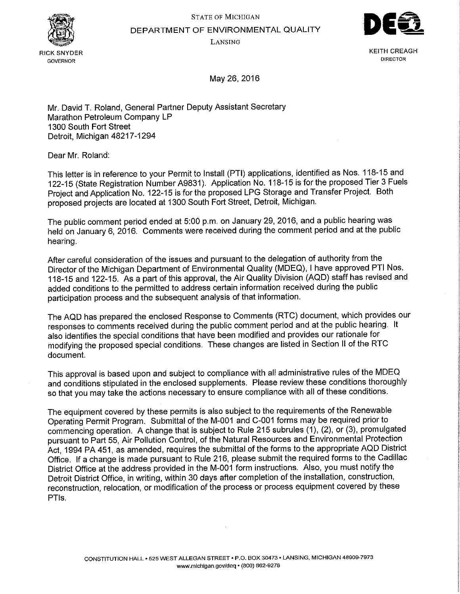STATE OF MICHIGAN



DEPARTMENT OF ENVIRONMENTAL QUALITY

LANSING



KEITH CREAGH **DIRECTOR** 

May 26, 2016

Mr. David T. Roland, General Partner Deputy Assistant Secretary Marathon Petroleum Company LP 1300 South Fort Street Detroit, Michigan 48217-1294

Dear Mr. Roland:

This letter is in reference to your Permit to Install (PTI) applications, identified as Nos. 118-15 and 122-15 (State Registration Number A9831). Application No. 118-15 is for the proposed Tier 3 Fuels Project and Application No. 122-15 is for the proposed LPG Storage and Transfer Project. Both proposed projects are located at 1300 South Fort Street, Detroit, Michigan.

The public comment period ended at 5:00 p.m. on January 29, 2016, and a public hearing was held on January 6, 2016. Comments were received during the comment period and at the public hearing.

After careful consideration of the issues and pursuant to the delegation of authority from the Director of the Michigan Department of Environmental Quality (MDEQ), I have approved PTI Nos. 118-15 and 122-15. As a part of this approval, the Air Quality Division (AQD) staff has revised and added conditions to the permitted to address certain information received during the public participation process and the subsequent analysis of that information.

The AQD has prepared the enclosed Response to Comments (RTC) document, which provides our responses to comments received during the public comment period and at the public hearing. It also identifies the special conditions that have been modified and provides our rationale for modifying the proposed special conditions. These changes are listed in Section II of the RTC document.

This approval is based upon and subject to compliance with all administrative rules of the MDEQ and conditions stipulated in the enclosed supplements. Please review these conditions thoroughly so that you may take the actions necessary to ensure compliance with all of these conditions.

The equipment covered by these permits is also subject to the requirements of the Renewable Operating Permit Program. Submittal of the M-001 and C-001 forms may be required prior to commencing operation. A change that is subject to Rule 215 subrules (1), (2), or (3), promulgated pursuant to Part 55, Air Pollution Control, of the Natural Resources and Environmental Protection Act, 1994 PA 451, as amended, requires the submittal of the forms to the appropriate AQD District Office. If a change is made pursuant to Rule 216, please submit the required forms to the Cadillac District Office at the address provided in the M-001 form instructions. Also, you must notify the Detroit District Office, in writing, within 30 days after completion of the installation, construction, reconstruction, relocation, or modification of the process or process equipment covered by these PTls.